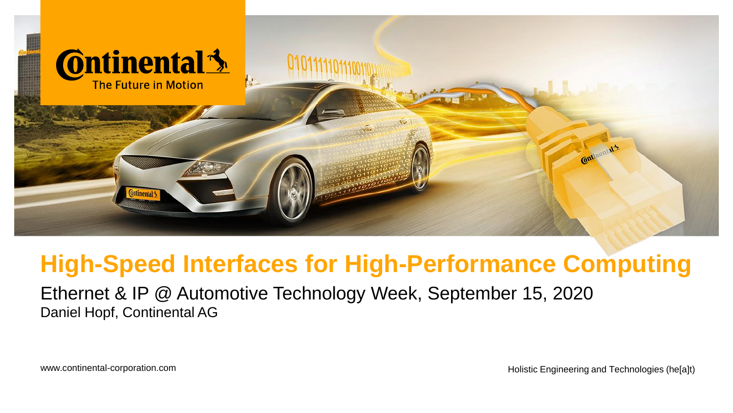

# **High-Speed Interfaces for High-Performance Computing**

Ethernet & IP @ Automotive Technology Week, September 15, 2020 Daniel Hopf, Continental AG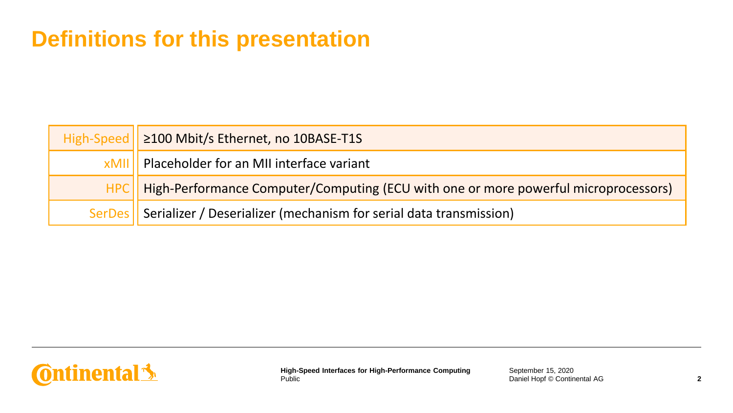## **Definitions for this presentation**

| High-Speed   ≥100 Mbit/s Ethernet, no 10BASE-T1S                                          |
|-------------------------------------------------------------------------------------------|
| xMII   Placeholder for an MII interface variant                                           |
| HPC   High-Performance Computer/Computing (ECU with one or more powerful microprocessors) |
| SerDes    Serializer / Deserializer (mechanism for serial data transmission)              |

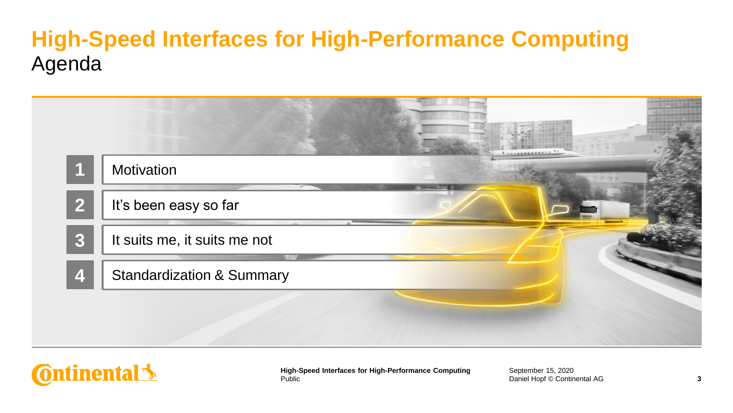## **High-Speed Interfaces for High-Performance Computing** Agenda

| Motivation                           |  |
|--------------------------------------|--|
| It's been easy so far                |  |
| It suits me, it suits me not         |  |
| <b>Standardization &amp; Summary</b> |  |

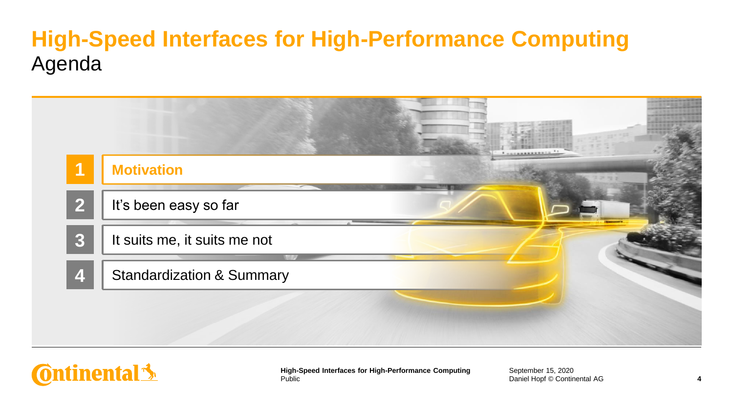## **High-Speed Interfaces for High-Performance Computing** Agenda

|                | <b>Motivation</b>                    |  |  |
|----------------|--------------------------------------|--|--|
| $\overline{2}$ | It's been easy so far                |  |  |
| $\overline{3}$ | It suits me, it suits me not         |  |  |
|                | <b>Standardization &amp; Summary</b> |  |  |

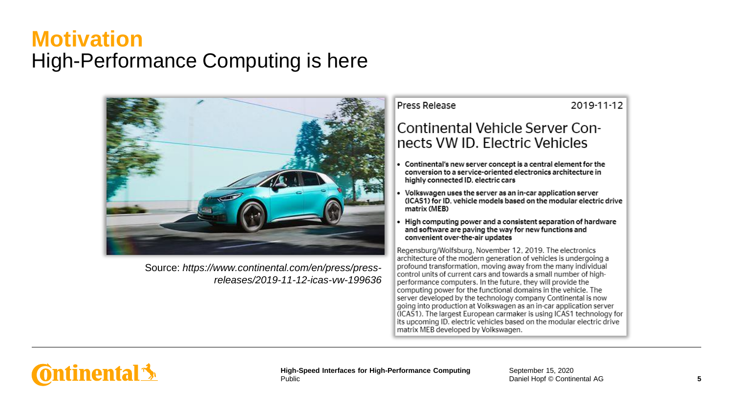#### **Motivation** High-Performance Computing is here



Source: *https://www.continental.com/en/press/pressreleases/2019-11-12-icas-vw-199636* Press Release

2019-11-12

#### Continental Vehicle Server Connects VW ID. Electric Vehicles

- $\bullet$  Continental's new server concept is a central element for the conversion to a service-oriented electronics architecture in highly connected ID, electric cars
- Volkswagen uses the server as an in-car application server (ICAS1) for ID, vehicle models based on the modular electric drive matrix (MEB)
- High computing power and a consistent separation of hardware and software are paving the way for new functions and convenient over-the-air updates

Regensburg/Wolfsburg, November 12, 2019. The electronics architecture of the modern generation of vehicles is undergoing a profound transformation, moving away from the many individual control units of current cars and towards a small number of highperformance computers. In the future, they will provide the computing power for the functional domains in the vehicle. The server developed by the technology company Continental is now going into production at Volkswagen as an in-car application server (ICAS1). The largest European carmaker is using ICAS1 technology for its upcoming ID. electric vehicles based on the modular electric drive matrix MEB developed by Volkswagen.

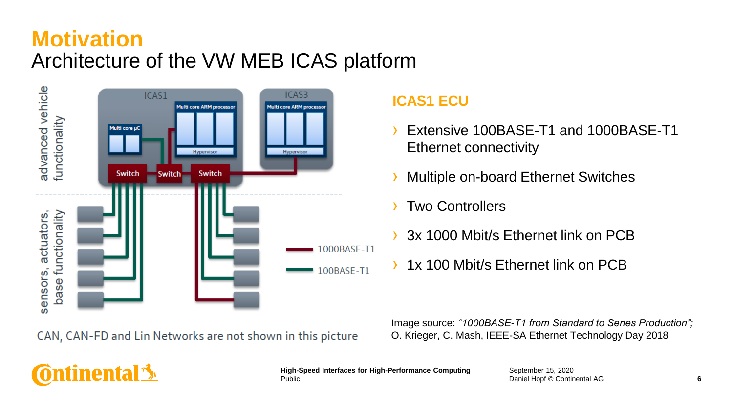#### **Motivation** Architecture of the VW MEB ICAS platform



CAN, CAN-FD and Lin Networks are not shown in this picture

**ICAS1 ECU**

- Extensive 100BASE-T1 and 1000BASE-T1 Ethernet connectivity
- **Multiple on-board Ethernet Switches**
- **Two Controllers**
- 3x 1000 Mbit/s Ethernet link on PCB
- › 1x 100 Mbit/s Ethernet link on PCB

Image source: *"1000BASE-T1 from Standard to Series Production";* O. Krieger, C. Mash, IEEE-SA Ethernet Technology Day 2018

# **Ontinental 3**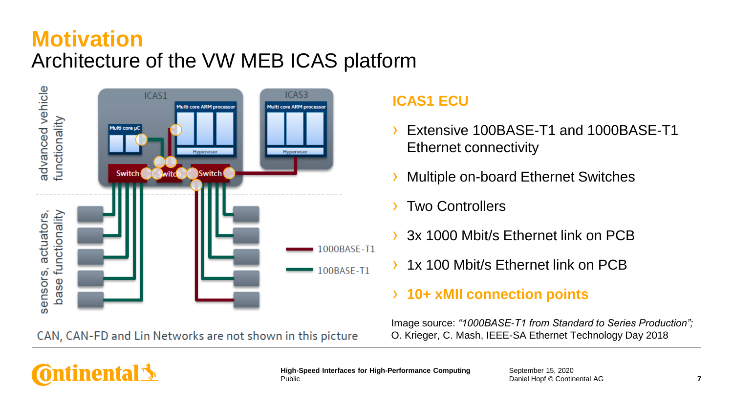#### **Motivation** Architecture of the VW MEB ICAS platform



CAN, CAN-FD and Lin Networks are not shown in this picture

#### **ICAS1 ECU**

- Extensive 100BASE-T1 and 1000BASE-T1 Ethernet connectivity
- **Multiple on-board Ethernet Switches**
- **Two Controllers**
- 3x 1000 Mbit/s Ethernet link on PCB
- 1x 100 Mbit/s Ethernet link on PCB

#### › **10+ xMII connection points**

Image source: *"1000BASE-T1 from Standard to Series Production";* O. Krieger, C. Mash, IEEE-SA Ethernet Technology Day 2018

# **Ontinental 3**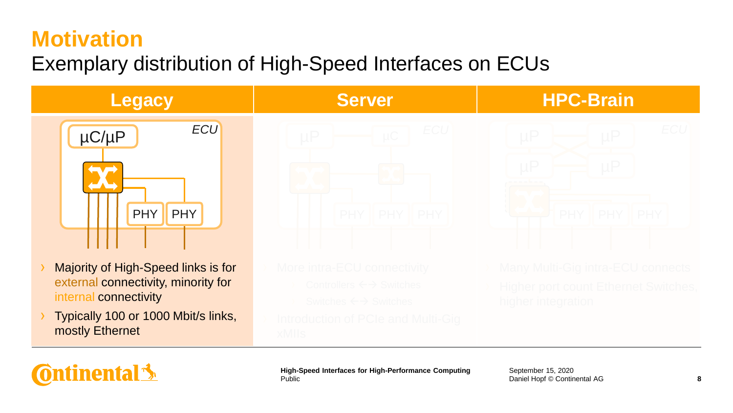## **Motivation**

**Ontinental 3** 

## Exemplary distribution of High-Speed Interfaces on ECUs



Public **High-Speed Interfaces for High-Performance Computing September 15, 2020**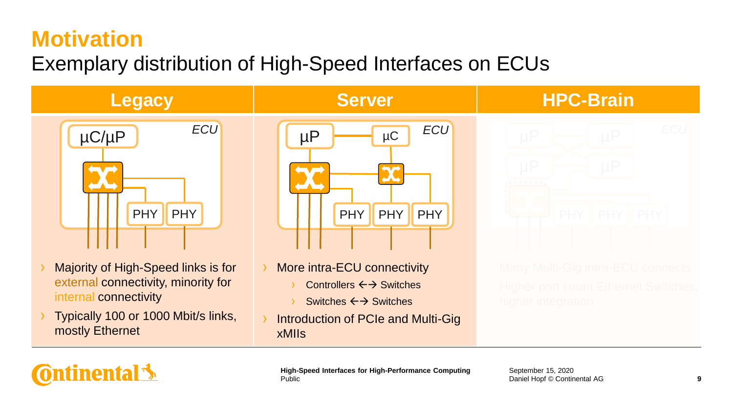## **Motivation**

**Ontinental 3** 

## Exemplary distribution of High-Speed Interfaces on ECUs



Public **High-Speed Interfaces for High-Performance Computing September 15, 2020**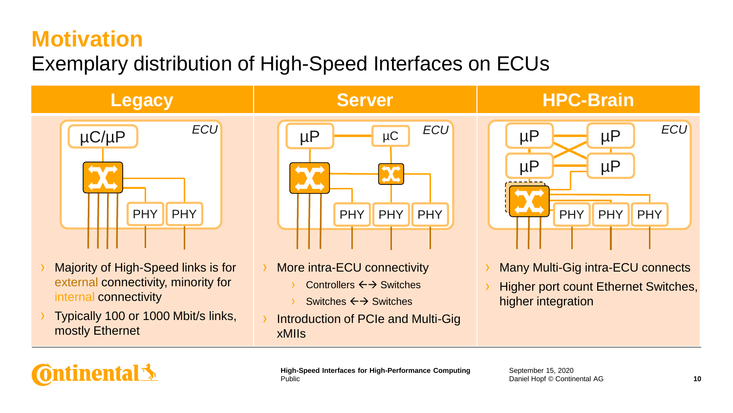## **Motivation**

## Exemplary distribution of High-Speed Interfaces on ECUs



- external connectivity, minority for internal connectivity
- › Typically 100 or 1000 Mbit/s links, mostly Ethernet
- Controllers  $\leftarrow$  Switches
	- Switches ← → Switches
- Introduction of PCIe and Multi-Gig xMIIs
- 
- **Higher port count Ethernet Switches,** higher integration

**Ontinental 3** 

Public **High-Speed Interfaces for High-Performance Computing September 15, 2020**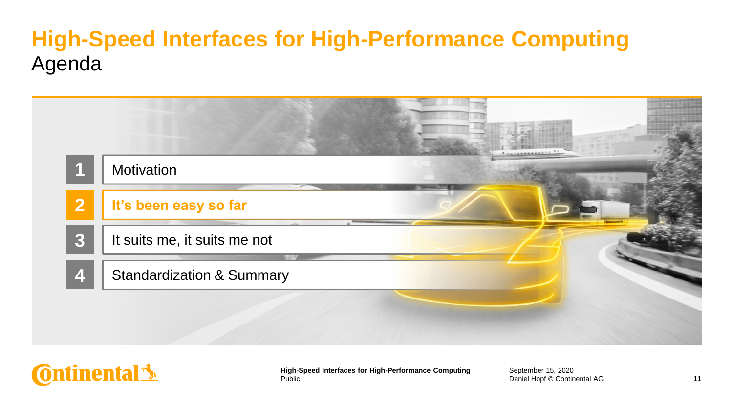## **High-Speed Interfaces for High-Performance Computing** Agenda

|                  | Motivation                           |  |
|------------------|--------------------------------------|--|
|                  | It's been easy so far                |  |
|                  | It suits me, it suits me not         |  |
| $\boldsymbol{A}$ | <b>Standardization &amp; Summary</b> |  |

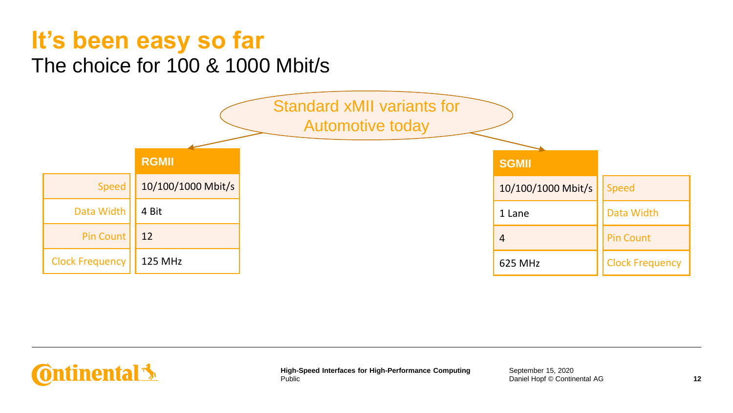

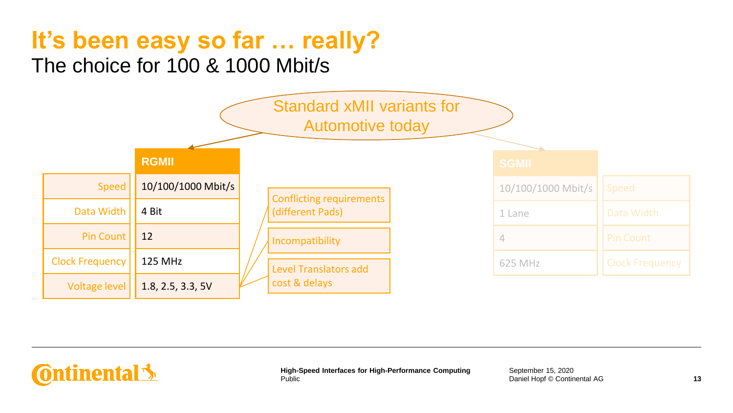

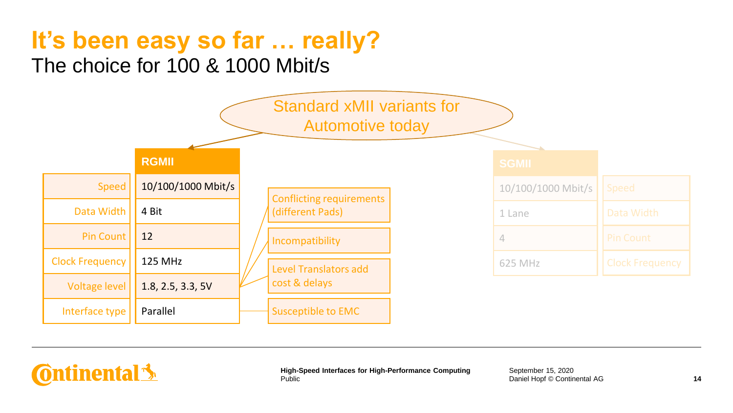

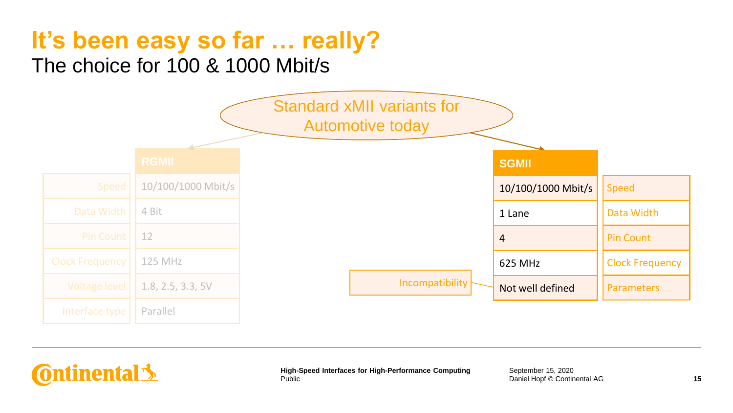**Ontinental** 

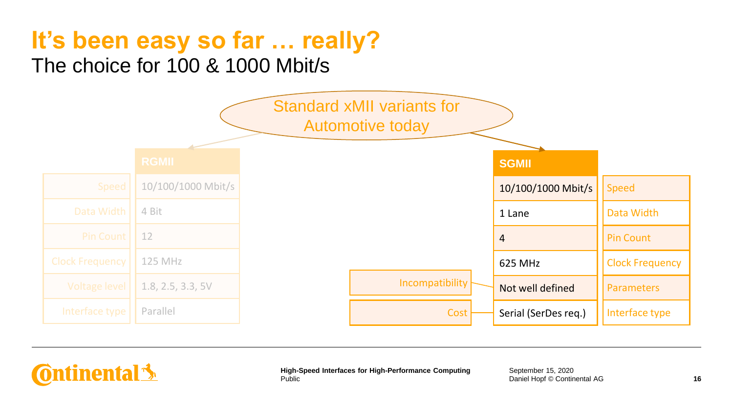**Ontinental** 

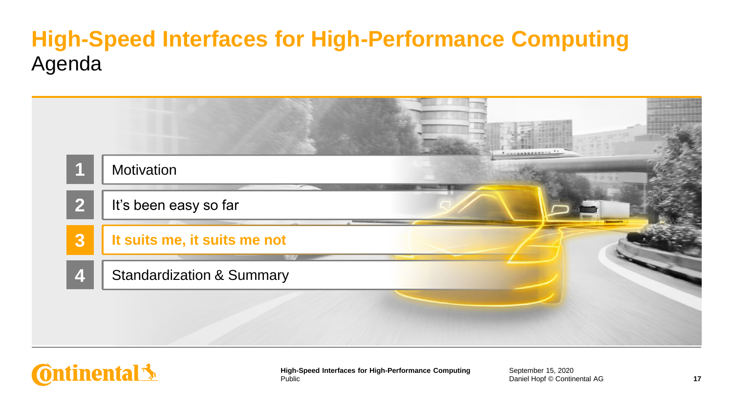## **High-Speed Interfaces for High-Performance Computing** Agenda

| Motivation                           |  |
|--------------------------------------|--|
| It's been easy so far                |  |
| It suits me, it suits me not         |  |
| <b>Standardization &amp; Summary</b> |  |

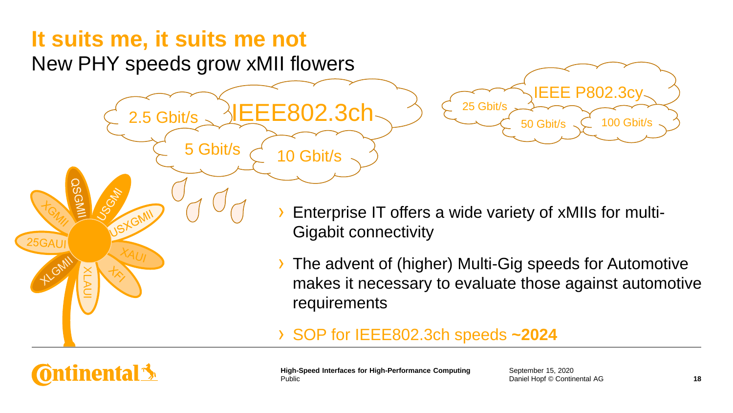2.5 Gbit/s

XLAUI

**Ontinental** \$

**JSGN** 

25GAUI

New PHY speeds grow xMII flowers



- Enterprise IT offers a wide variety of xMIIs for multi-Gigabit connectivity
- › The advent of (higher) Multi-Gig speeds for Automotive makes it necessary to evaluate those against automotive requirements

#### › SOP for IEEE802.3ch speeds **~2024**

Public **High-Speed Interfaces for High-Performance Computing**

IEEE802.3ch

5 Gbit/s  $\begin{bmatrix} 10 & 6 \end{bmatrix}$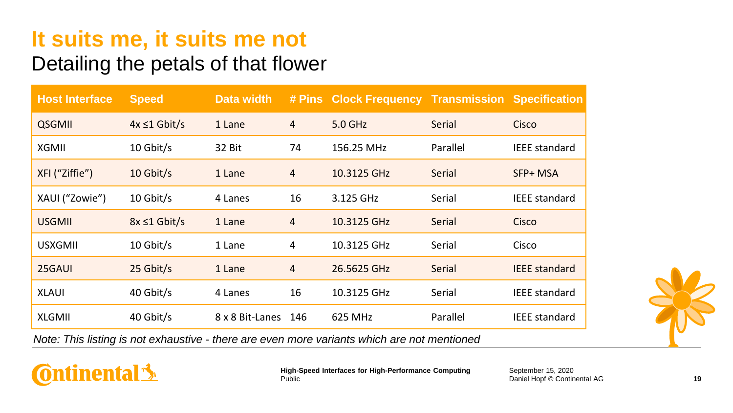#### Detailing the petals of that flower

| <b>Host Interface</b> | <b>Speed</b>       | Data width      |                | # Pins Clock Frequency Transmission Specification                                           |          |                      |
|-----------------------|--------------------|-----------------|----------------|---------------------------------------------------------------------------------------------|----------|----------------------|
| <b>QSGMII</b>         | $4x \leq 1$ Gbit/s | 1 Lane          | 4              | 5.0 GHz                                                                                     | Serial   | Cisco                |
| XGMII                 | 10 Gbit/s          | 32 Bit          | 74             | 156.25 MHz                                                                                  | Parallel | <b>IEEE</b> standard |
| XFI ("Ziffie")        | 10 Gbit/s          | 1 Lane          | $\overline{4}$ | 10.3125 GHz                                                                                 | Serial   | SFP+ MSA             |
| XAUI ("Zowie")        | 10 Gbit/s          | 4 Lanes         | 16             | 3.125 GHz                                                                                   | Serial   | <b>IEEE</b> standard |
| <b>USGMII</b>         | $8x \leq 1$ Gbit/s | 1 Lane          | $\overline{4}$ | 10.3125 GHz                                                                                 | Serial   | Cisco                |
| <b>USXGMII</b>        | 10 Gbit/s          | 1 Lane          | 4              | 10.3125 GHz                                                                                 | Serial   | Cisco                |
| 25GAUI                | 25 Gbit/s          | 1 Lane          | 4              | 26.5625 GHz                                                                                 | Serial   | <b>IEEE</b> standard |
| <b>XLAUI</b>          | 40 Gbit/s          | 4 Lanes         | 16             | 10.3125 GHz                                                                                 | Serial   | <b>IEEE</b> standard |
| <b>XLGMII</b>         | 40 Gbit/s          | 8 x 8 Bit-Lanes | 146            | 625 MHz                                                                                     | Parallel | <b>IEEE standard</b> |
|                       |                    |                 |                | Note: This listing is not exhaustive - there are even more variants which are not mentioned |          |                      |



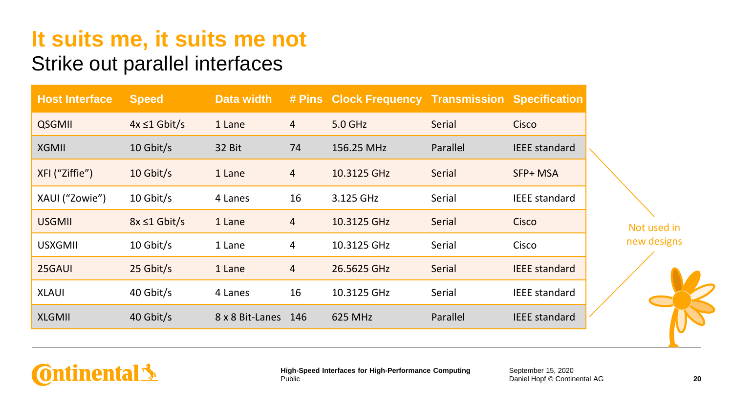#### Strike out parallel interfaces

| <b>Host Interface</b> | <b>Speed</b>       | <b>Data width</b> |                | # Pins Clock Frequency Transmission Specification |          |                      |  |
|-----------------------|--------------------|-------------------|----------------|---------------------------------------------------|----------|----------------------|--|
| <b>QSGMII</b>         | $4x \leq 1$ Gbit/s | 1 Lane            | $\overline{4}$ | 5.0 GHz                                           | Serial   | Cisco                |  |
| <b>XGMII</b>          | 10 Gbit/s          | 32 Bit            | 74             | 156.25 MHz                                        | Parallel | <b>IEEE</b> standard |  |
| XFI ("Ziffie")        | $10$ Gbit/s        | 1 Lane            | $\overline{4}$ | 10.3125 GHz                                       | Serial   | SFP+ MSA             |  |
| XAUI ("Zowie")        | 10 Gbit/s          | 4 Lanes           | 16             | 3.125 GHz                                         | Serial   | <b>IEEE</b> standard |  |
| <b>USGMII</b>         | $8x \leq 1$ Gbit/s | 1 Lane            | $\overline{4}$ | 10.3125 GHz                                       | Serial   | Cisco                |  |
| <b>USXGMII</b>        | 10 Gbit/s          | 1 Lane            | 4              | 10.3125 GHz                                       | Serial   | Cisco                |  |
| 25GAUI                | 25 Gbit/s          | 1 Lane            | $\overline{4}$ | 26.5625 GHz                                       | Serial   | <b>IEEE</b> standard |  |
| <b>XLAUI</b>          | 40 Gbit/s          | 4 Lanes           | 16             | 10.3125 GHz                                       | Serial   | <b>IEEE</b> standard |  |
| <b>XLGMII</b>         | 40 Gbit/s          | 8 x 8 Bit-Lanes   | 146            | 625 MHz                                           | Parallel | <b>IEEE</b> standard |  |



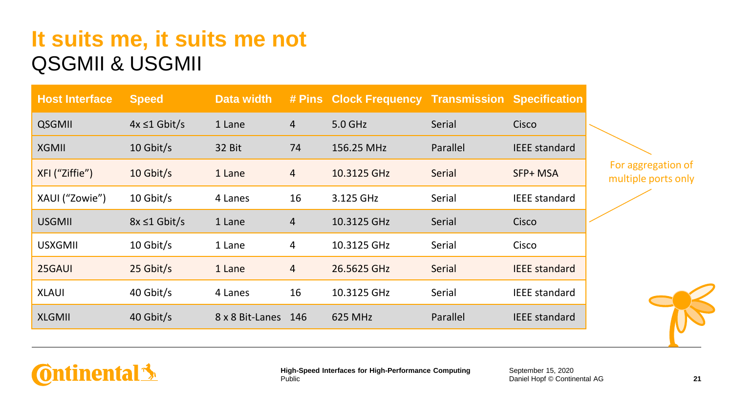#### **It suits me, it suits me not** QSGMII & USGMII

| <b>Host Interface</b> | <b>Speed</b>       | Data width      |                | # Pins Clock Frequency Transmission |          | <b>Specification</b> |  |
|-----------------------|--------------------|-----------------|----------------|-------------------------------------|----------|----------------------|--|
| <b>QSGMII</b>         | $4x \leq 1$ Gbit/s | 1 Lane          | 4              | 5.0 GHz                             | Serial   | Cisco                |  |
| <b>XGMII</b>          | 10 Gbit/s          | 32 Bit          | 74             | 156.25 MHz                          | Parallel | <b>IEEE</b> standard |  |
| XFI ("Ziffie")        | 10 Gbit/s          | 1 Lane          | $\overline{4}$ | 10.3125 GHz                         | Serial   | SFP+ MSA             |  |
| XAUI ("Zowie")        | 10 Gbit/s          | 4 Lanes         | 16             | 3.125 GHz                           | Serial   | <b>IEEE</b> standard |  |
| <b>USGMII</b>         | $8x \leq 1$ Gbit/s | 1 Lane          | $\overline{4}$ | 10.3125 GHz                         | Serial   | Cisco                |  |
| <b>USXGMII</b>        | 10 Gbit/s          | 1 Lane          | 4              | 10.3125 GHz                         | Serial   | Cisco                |  |
| 25GAUI                | 25 Gbit/s          | 1 Lane          | $\overline{4}$ | 26.5625 GHz                         | Serial   | <b>IEEE</b> standard |  |
| <b>XLAUI</b>          | 40 Gbit/s          | 4 Lanes         | 16             | 10.3125 GHz                         | Serial   | <b>IEEE</b> standard |  |
| <b>XLGMII</b>         | 40 Gbit/s          | 8 x 8 Bit-Lanes | 146            | 625 MHz                             | Parallel | <b>IEEE</b> standard |  |

For aggregation of multiple ports only

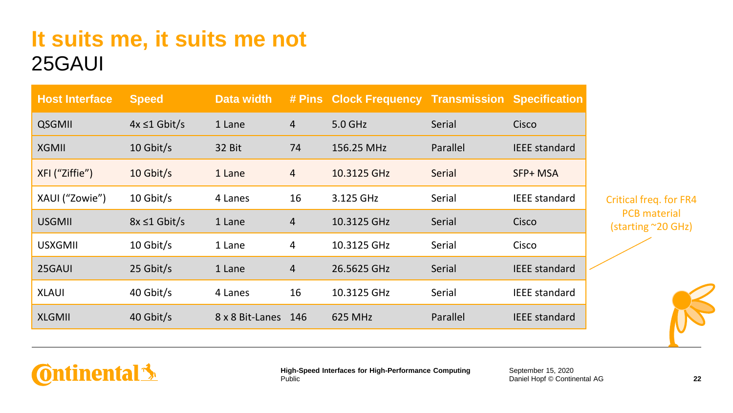| <b>Host Interface</b> | <b>Speed</b>       | Data width      |                | # Pins Clock Frequency Transmission Specification |          |                      |  |
|-----------------------|--------------------|-----------------|----------------|---------------------------------------------------|----------|----------------------|--|
| <b>QSGMII</b>         | $4x \leq 1$ Gbit/s | 1 Lane          | $\overline{4}$ | 5.0 GHz                                           | Serial   | Cisco                |  |
| <b>XGMII</b>          | 10 Gbit/s          | 32 Bit          | 74             | 156.25 MHz                                        | Parallel | <b>IEEE</b> standard |  |
| XFI ("Ziffie")        | $10$ Gbit/s        | 1 Lane          | $\overline{4}$ | 10.3125 GHz                                       | Serial   | SFP+ MSA             |  |
| XAUI ("Zowie")        | 10 Gbit/s          | 4 Lanes         | 16             | 3.125 GHz                                         | Serial   | <b>IEEE</b> standard |  |
| <b>USGMII</b>         | $8x \leq 1$ Gbit/s | 1 Lane          | 4              | 10.3125 GHz                                       | Serial   | Cisco                |  |
| <b>USXGMIL</b>        | 10 Gbit/s          | 1 Lane          | 4              | 10.3125 GHz                                       | Serial   | Cisco                |  |
| 25GAUI                | 25 Gbit/s          | 1 Lane          | $\overline{4}$ | 26.5625 GHz                                       | Serial   | <b>IEEE</b> standard |  |
| <b>XLAUI</b>          | 40 Gbit/s          | 4 Lanes         | 16             | 10.3125 GHz                                       | Serial   | <b>IEEE</b> standard |  |
| <b>XLGMII</b>         | 40 Gbit/s          | 8 x 8 Bit-Lanes | 146            | 625 MHz                                           | Parallel | <b>IEEE</b> standard |  |

Critical freq. for FR4 PCB material (starting ~20 GHz)



#### **Ontinental**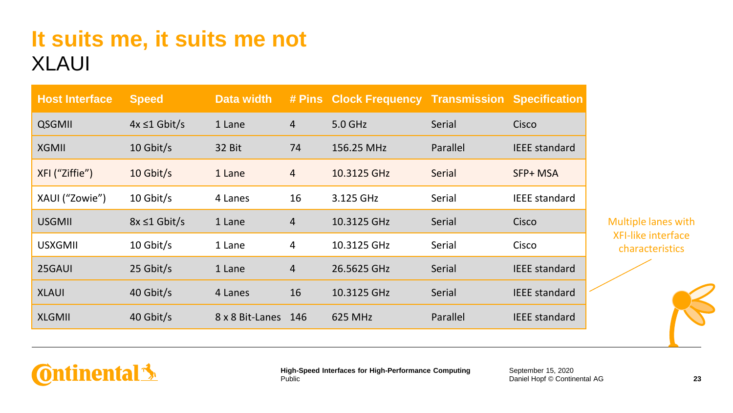**Ontinental** 

| <b>Host Interface</b> | <b>Speed</b>       | Data width      |                | # Pins Clock Frequency Transmission Specification |          |                      |
|-----------------------|--------------------|-----------------|----------------|---------------------------------------------------|----------|----------------------|
| <b>QSGMII</b>         | $4x \leq 1$ Gbit/s | 1 Lane          | $\overline{4}$ | 5.0 GHz                                           | Serial   | Cisco                |
| <b>XGMII</b>          | 10 Gbit/s          | 32 Bit          | 74             | 156.25 MHz                                        | Parallel | <b>IEEE</b> standard |
| XFI ("Ziffie")        | 10 Gbit/s          | 1 Lane          | 4              | 10.3125 GHz                                       | Serial   | SFP+ MSA             |
| XAUI ("Zowie")        | 10 Gbit/s          | 4 Lanes         | 16             | 3.125 GHz                                         | Serial   | <b>IEEE</b> standard |
| <b>USGMII</b>         | $8x \leq 1$ Gbit/s | 1 Lane          | 4              | 10.3125 GHz                                       | Serial   | Cisco                |
| <b>USXGMII</b>        | 10 Gbit/s          | 1 Lane          | 4              | 10.3125 GHz                                       | Serial   | Cisco                |
| 25GAUI                | 25 Gbit/s          | 1 Lane          | 4              | 26.5625 GHz                                       | Serial   | <b>IEEE</b> standard |
| <b>XLAUI</b>          | 40 Gbit/s          | 4 Lanes         | 16             | 10.3125 GHz                                       | Serial   | <b>IEEE</b> standard |
| <b>XLGMII</b>         | 40 Gbit/s          | 8 x 8 Bit-Lanes | 146            | 625 MHz                                           | Parallel | <b>IEEE</b> standard |

Public

**High-Speed Interfaces for High-Performance Computing**

Multiple lanes with XFI-like interface characteristics

September 15, 2020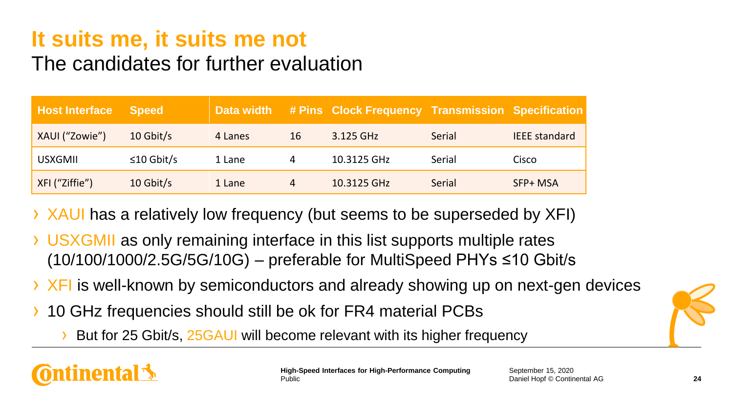#### The candidates for further evaluation

| <b>Host Interface</b> | Speed            | Data width |    | # Pins Clock Frequency Transmission Specification |        |                      |
|-----------------------|------------------|------------|----|---------------------------------------------------|--------|----------------------|
| XAUI ("Zowie")        | $10$ Gbit/s      | 4 Lanes    | 16 | 3.125 GHz                                         | Serial | <b>IEEE</b> standard |
| <b>USXGMIL</b>        | $\leq$ 10 Gbit/s | 1 Lane     | 4  | 10.3125 GHz                                       | Serial | Cisco                |
| XFI ("Ziffie")        | $10$ Gbit/s      | 1 Lane     | 4  | 10.3125 GHz                                       | Serial | SFP+ MSA             |

- › XAUI has a relatively low frequency (but seems to be superseded by XFI)
- › USXGMII as only remaining interface in this list supports multiple rates (10/100/1000/2.5G/5G/10G) – preferable for MultiSpeed PHYs ≤10 Gbit/s
- › XFI is well-known by semiconductors and already showing up on next-gen devices
- 10 GHz frequencies should still be ok for FR4 material PCBs
	- But for 25 Gbit/s, 25 GAUI will become relevant with its higher frequency

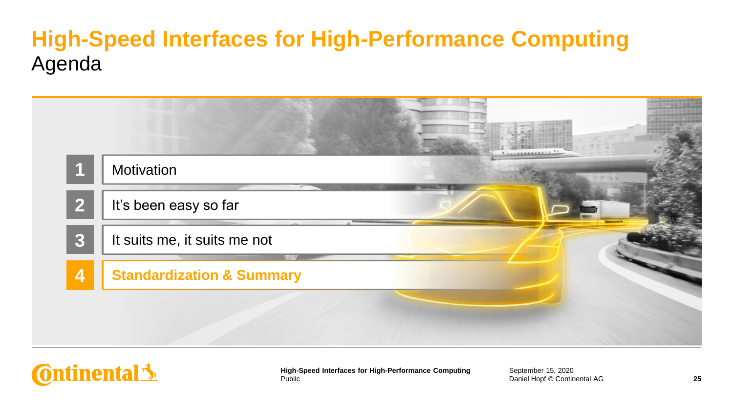## **High-Speed Interfaces for High-Performance Computing** Agenda

|                | Motivation                           |  |
|----------------|--------------------------------------|--|
| $\overline{2}$ | It's been easy so far                |  |
| 3              | It suits me, it suits me not         |  |
| $\overline{4}$ | <b>Standardization &amp; Summary</b> |  |
|                |                                      |  |
|                |                                      |  |

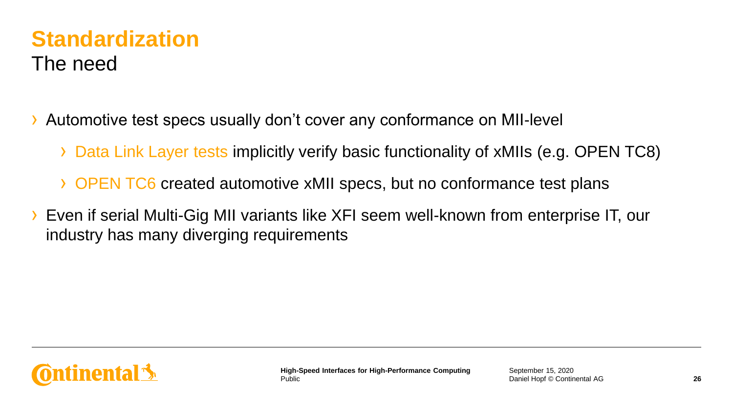#### **Standardization** The need

- › Automotive test specs usually don't cover any conformance on MII-level
	- › Data Link Layer tests implicitly verify basic functionality of xMIIs (e.g. OPEN TC8)
	- › OPEN TC6 created automotive xMII specs, but no conformance test plans
- › Even if serial Multi-Gig MII variants like XFI seem well-known from enterprise IT, our industry has many diverging requirements

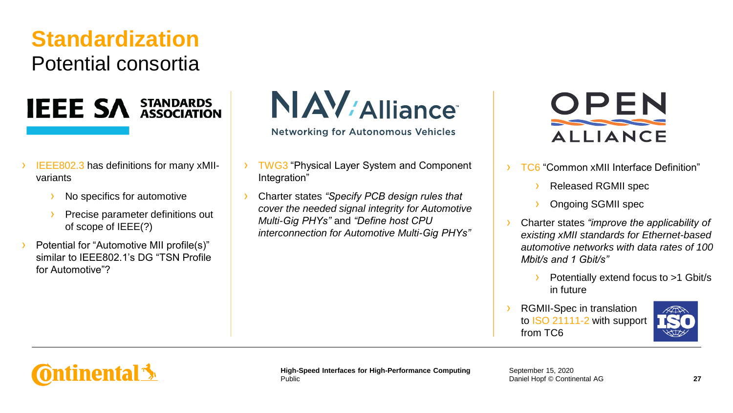#### **Standardization** Potential consortia

# **IEEE SA STANDARDS**

- › IEEE802.3 has definitions for many xMIIvariants
	- No specifics for automotive
	- Precise parameter definitions out of scope of IEEE(?)
- Potential for "Automotive MII profile(s)" similar to IFFF802.1's DG "TSN Profile for Automotive"?

 $N$   $AV$   $\mu$  alliance

**Networking for Autonomous Vehicles** 

- **TWG3** "Physical Layer System and Component Integration"
- › Charter states *"Specify PCB design rules that cover the needed signal integrity for Automotive Multi-Gig PHYs"* and *"Define host CPU interconnection for Automotive Multi-Gig PHYs"*



› TC6 "Common xMII Interface Definition"

- › Released RGMII spec
- › Ongoing SGMII spec
- › Charter states *"improve the applicability of existing xMII standards for Ethernet-based automotive networks with data rates of 100 Mbit/s and 1 Gbit/s"*
	- Potentially extend focus to >1 Gbit/s in future
- RGMII-Spec in translation to ISO 21111-2 with support from TC6



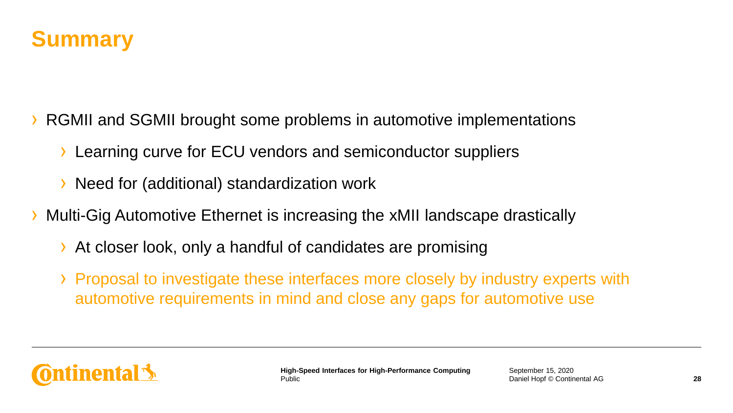

- RGMII and SGMII brought some problems in automotive implementations
	- › Learning curve for ECU vendors and semiconductor suppliers
	- › Need for (additional) standardization work
- › Multi-Gig Automotive Ethernet is increasing the xMII landscape drastically
	- › At closer look, only a handful of candidates are promising
	- › Proposal to investigate these interfaces more closely by industry experts with automotive requirements in mind and close any gaps for automotive use